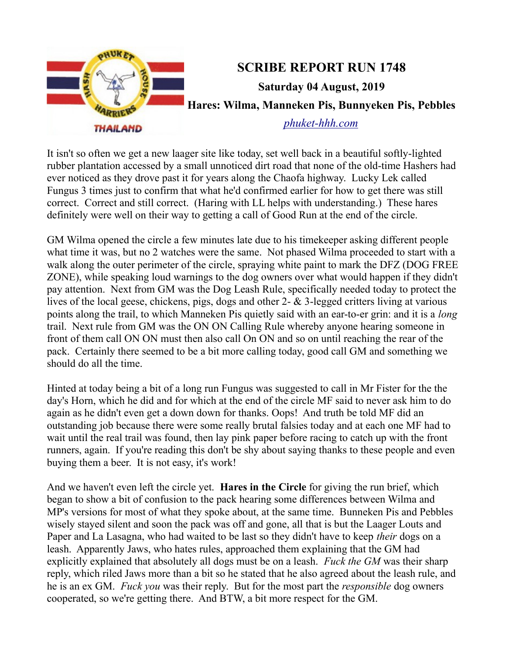

It isn't so often we get a new laager site like today, set well back in a beautiful softly-lighted rubber plantation accessed by a small unnoticed dirt road that none of the old-time Hashers had ever noticed as they drove past it for years along the Chaofa highway. Lucky Lek called Fungus 3 times just to confirm that what he'd confirmed earlier for how to get there was still correct. Correct and still correct. (Haring with LL helps with understanding.) These hares definitely were well on their way to getting a call of Good Run at the end of the circle.

GM Wilma opened the circle a few minutes late due to his timekeeper asking different people what time it was, but no 2 watches were the same. Not phased Wilma proceeded to start with a walk along the outer perimeter of the circle, spraying white paint to mark the DFZ (DOG FREE ZONE), while speaking loud warnings to the dog owners over what would happen if they didn't pay attention. Next from GM was the Dog Leash Rule, specifically needed today to protect the lives of the local geese, chickens, pigs, dogs and other 2- & 3-legged critters living at various points along the trail, to which Manneken Pis quietly said with an ear-to-er grin: and it is a *long* trail. Next rule from GM was the ON ON Calling Rule whereby anyone hearing someone in front of them call ON ON must then also call On ON and so on until reaching the rear of the pack. Certainly there seemed to be a bit more calling today, good call GM and something we should do all the time.

Hinted at today being a bit of a long run Fungus was suggested to call in Mr Fister for the the day's Horn, which he did and for which at the end of the circle MF said to never ask him to do again as he didn't even get a down down for thanks. Oops! And truth be told MF did an outstanding job because there were some really brutal falsies today and at each one MF had to wait until the real trail was found, then lay pink paper before racing to catch up with the front runners, again. If you're reading this don't be shy about saying thanks to these people and even buying them a beer. It is not easy, it's work!

And we haven't even left the circle yet. **Hares in the Circle** for giving the run brief, which began to show a bit of confusion to the pack hearing some differences between Wilma and MP's versions for most of what they spoke about, at the same time. Bunneken Pis and Pebbles wisely stayed silent and soon the pack was off and gone, all that is but the Laager Louts and Paper and La Lasagna, who had waited to be last so they didn't have to keep *their* dogs on a leash. Apparently Jaws, who hates rules, approached them explaining that the GM had explicitly explained that absolutely all dogs must be on a leash. *Fuck the GM* was their sharp reply, which riled Jaws more than a bit so he stated that he also agreed about the leash rule, and he is an ex GM. *Fuck you* was their reply. But for the most part the *responsible* dog owners cooperated, so we're getting there. And BTW, a bit more respect for the GM.